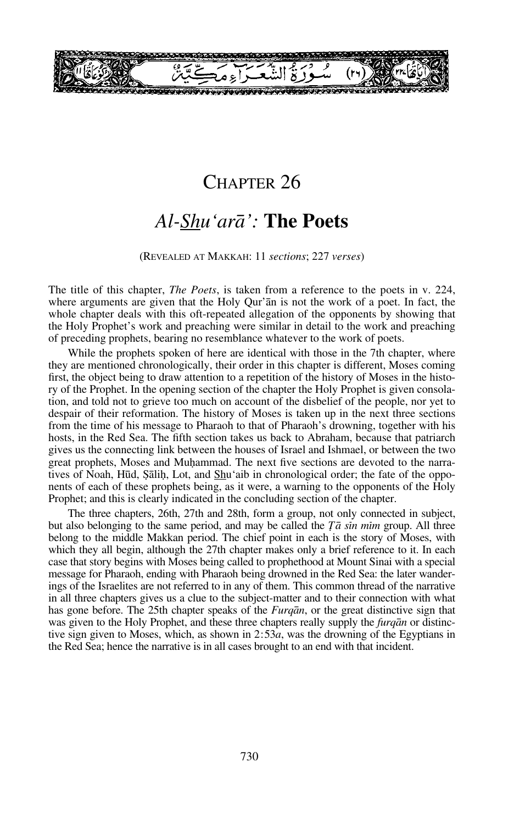

## CHAPTER 26

# *Al-Shu'arå':* **The Poets**

#### (REVEALED AT MAKKAH: 11 *sections*; 227 *verses*)

The title of this chapter, *The Poets*, is taken from a reference to the poets in v. 224, where arguments are given that the Holy Qur'ån is not the work of a poet. In fact, the whole chapter deals with this oft-repeated allegation of the opponents by showing that the Holy Prophet's work and preaching were similar in detail to the work and preaching of preceding prophets, bearing no resemblance whatever to the work of poets.

While the prophets spoken of here are identical with those in the 7th chapter, where they are mentioned chronologically, their order in this chapter is different, Moses coming first, the object being to draw attention to a repetition of the history of Moses in the history of the Prophet. In the opening section of the chapter the Holy Prophet is given consolation, and told not to grieve too much on account of the disbelief of the people, nor yet to despair of their reformation. The history of Moses is taken up in the next three sections from the time of his message to Pharaoh to that of Pharaoh's drowning, together with his hosts, in the Red Sea. The fifth section takes us back to Abraham, because that patriarch gives us the connecting link between the houses of Israel and Ishmael, or between the two great prophets, Moses and Muhammad. The next five sections are devoted to the narratives of Noah, Hūd, Sālih, Lot, and Shu'aib in chronological order; the fate of the opponents of each of these prophets being, as it were, a warning to the opponents of the Holy Prophet; and this is clearly indicated in the concluding section of the chapter.

The three chapters, 26th, 27th and 28th, form a group, not only connected in subject, but also belonging to the same period, and may be called the  $\overline{T}a \sin \overline{m}m$  group. All three belong to the middle Makkan period. The chief point in each is the story of Moses, with which they all begin, although the 27th chapter makes only a brief reference to it. In each case that story begins with Moses being called to prophethood at Mount Sinai with a special message for Pharaoh, ending with Pharaoh being drowned in the Red Sea: the later wanderings of the Israelites are not referred to in any of them. This common thread of the narrative in all three chapters gives us a clue to the subject-matter and to their connection with what has gone before. The 25th chapter speaks of the *Furqån*, or the great distinctive sign that was given to the Holy Prophet, and these three chapters really supply the *furqån* or distinctive sign given to Moses, which, as shown in 2:53*a*, was the drowning of the Egyptians in the Red Sea; hence the narrative is in all cases brought to an end with that incident.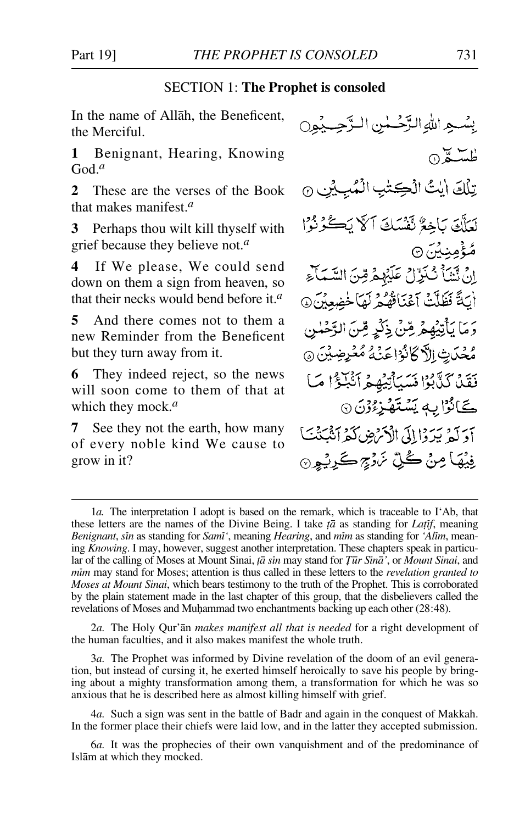#### SECTION 1: **The Prophet is consoled**

In the name of Allåh, the Beneficent, the Merciful.

**1** Benignant, Hearing, Knowing God.*<sup>a</sup>*

**2** These are the verses of the Book that makes manifest.*<sup>a</sup>*

**3** Perhaps thou wilt kill thyself with grief because they believe not.*<sup>a</sup>*

**4** If We please, We could send down on them a sign from heaven, so that their necks would bend before it.*<sup>a</sup>*

**5** And there comes not to them a new Reminder from the Beneficent but they turn away from it.

**6** They indeed reject, so the news will soon come to them of that at which they mock.*<sup>a</sup>*

**7** See they not the earth, how many of every noble kind We cause to grow in it?

بِينْسِيِرِ اللَّهِ التَّرْضَعْينِ البِدَّجِسِيْيِرِيِّ استة ١٥ تِلْكَ ايْتُ الْكِتْبِ الْمُبِيْنِ @ لَعَلَّقَ بَاخِعٌ تَقْسَكَ آلَّا يَكْوُرُوْا مُؤْمِنِيْنَ۞ إِنْ نَّنْنَأَ نُّنَزِّلْ عَلَيْهِمْ قِنَ السَّمَآءِ أَيَاةً فَظَلَّتْ آَعْنَاقُهُمْ لَهَا خُضِعِيْنَ @ رَمَا يَأْتِيْهِمْ شِنْ ذِكْرٍ قِنَ الرَّحْمٰنِ مُحْدَبِتْ الرَّكَانُوْا عَنْهُ مُعْرِضِيْنَ ۞ فَقَلْ كَذَّبُوْا نَسَيَأْتِيْهِمْ أَنْبَلَوْا مَا ڪَانُوَٰٓا بِهٖ يَسْتَهُزِءُوۡنَ ۞ آدَلَهُ يَدَدْا إِلَى الْأَمْرُضِ كَمْرَ أَنْبَتْنَنَا فِيۡهَا مِنۡ كُلِّ نَرۡرَجِ كَرِيۡوِنَ

2*a.* The Holy Qur'ån *makes manifest all that is needed* for a right development of the human faculties, and it also makes manifest the whole truth.

3*a.* The Prophet was informed by Divine revelation of the doom of an evil generation, but instead of cursing it, he exerted himself heroically to save his people by bringing about a mighty transformation among them, a transformation for which he was so anxious that he is described here as almost killing himself with grief.

4*a.* Such a sign was sent in the battle of Badr and again in the conquest of Makkah. In the former place their chiefs were laid low, and in the latter they accepted submission.

6*a.* It was the prophecies of their own vanquishment and of the predominance of Islåm at which they mocked.

<sup>1</sup>*a.* The interpretation I adopt is based on the remark, which is traceable to I'Ab, that these letters are the names of the Divine Being. I take *ƌ* as standing for *LaƧf*, meaning *Benignant*, *sin* as standing for *Sami*<sup>'</sup>, meaning *Hearing*, and *mim* as standing for 'Alim, meaning *Knowing*. I may, however, suggest another interpretation. These chapters speak in particular of the calling of Moses at Mount Sinai, *țā sin* may stand for *Țūr Sīnā'*, or *Mount Sinai*, and *mßm* may stand for Moses; attention is thus called in these letters to the *revelation granted to Moses at Mount Sinai*, which bears testimony to the truth of the Prophet. This is corroborated by the plain statement made in the last chapter of this group, that the disbelievers called the revelations of Moses and Muhammad two enchantments backing up each other (28:48).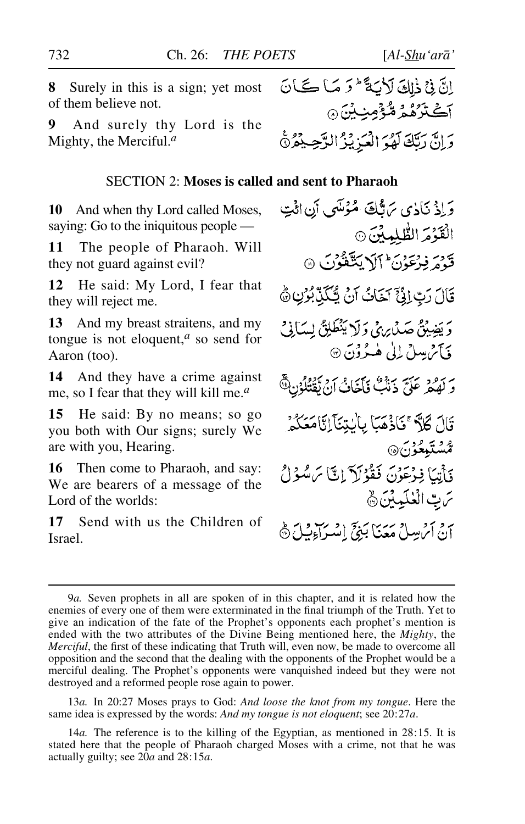**8** Surely in this is a sign; yet most of them believe not.

**9** And surely thy Lord is the Mighty, the Merciful.*<sup>a</sup>*

#### SECTION 2: **Moses is called and sent to Pharaoh**

**10** And when thy Lord called Moses, saying: Go to the iniquitous people —

**11** The people of Pharaoh. Will they not guard against evil?

**12** He said: My Lord, I fear that they will reject me.

**13** And my breast straitens, and my tongue is not eloquent,*<sup>a</sup>* so send for Aaron (too).

**14** And they have a crime against me, so I fear that they will kill me.*<sup>a</sup>*

**15** He said: By no means; so go you both with Our signs; surely We are with you, Hearing.

**16** Then come to Pharaoh, and say: We are bearers of a message of the Lord of the worlds:

**17** Send with us the Children of Israel.

وَإِذْ نَاذِي يَاتِّكَ مُؤْتَسِي أَنِ ائْتِ الْقَوْمَ الطُّلِمِينَ ۞ قَدْمَ فِرْعَوْنَ اَلَا يَتَّقَوُّنَ ۞ قَالَ رَبِّ إِنَّيٍّ آَخَاتُ أَنْ يُتَكَبِّ بُوْنِ ۞ وَيَضِيْقُ صَدْرِيهِيٍّ وَلَا يَنْطَلِقُ لِسَاْنِيٍّ فَأَثَرُ يِسِلُ إِلَىٰ هُـدُوُنَ ۞ بِرَ مِنْ عَلَيَّ ذَنَكَ فَأَخَابُ أَنْ تَقْتُلُوْنَ فَيَ قَالَ كَلاً ۚ قَاذْهَمَا بِالْبِتِنَآيِلَا مَعَكُمْ ر<br>ئىستېغۇن& فَأَتِيَا فِرْعَوْنَ فَقُوُلَآ إِنَّآ مَ سُوۡلُ سَ بِّ الْعُلَمِينَ ﴾ م و مشر ساخ معنا بيوس و بر<br>إن أثر ساخ **معن**ا بيوس إسبراء بيائ

13*a.* In 20:27 Moses prays to God: *And loose the knot from my tongue*. Here the same idea is expressed by the words: *And my tongue is not eloquent*; see 20:27*a*.

14*a.* The reference is to the killing of the Egyptian, as mentioned in 28:15. It is stated here that the people of Pharaoh charged Moses with a crime, not that he was actually guilty; see 20*a* and 28:15*a*.

<sup>9</sup>*a.* Seven prophets in all are spoken of in this chapter, and it is related how the enemies of every one of them were exterminated in the final triumph of the Truth. Yet to give an indication of the fate of the Prophet's opponents each prophet's mention is ended with the two attributes of the Divine Being mentioned here, the *Mighty*, the *Merciful*, the first of these indicating that Truth will, even now, be made to overcome all opposition and the second that the dealing with the opponents of the Prophet would be a merciful dealing. The Prophet's opponents were vanquished indeed but they were not destroyed and a reformed people rose again to power.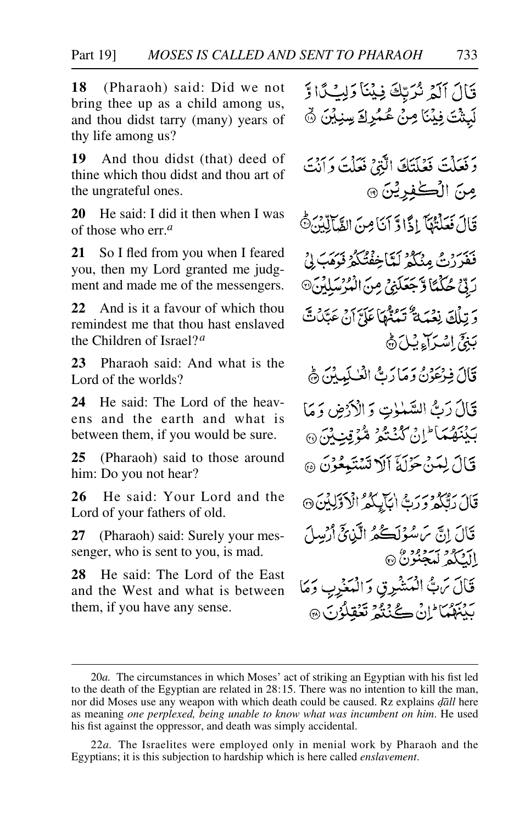**18** (Pharaoh) said: Did we not bring thee up as a child among us, and thou didst tarry (many) years of thy life among us?

**19** And thou didst (that) deed of thine which thou didst and thou art of the ungrateful ones.

**20** He said: I did it then when I was of those who err.*<sup>a</sup>*

**21** So I fled from you when I feared you, then my Lord granted me judgment and made me of the messengers.

**22** And is it a favour of which thou remindest me that thou hast enslaved the Children of Israel?*<sup>a</sup>*

**23** Pharaoh said: And what is the Lord of the worlds?

**24** He said: The Lord of the heavens and the earth and what is between them, if you would be sure.

**25** (Pharaoh) said to those around him: Do you not hear?

**26** He said: Your Lord and the Lord of your fathers of old.

**27** (Pharaoh) said: Surely your messenger, who is sent to you, is mad.

**28** He said: The Lord of the East and the West and what is between them, if you have any sense.

قَالَ آلَمْ نُرَبِّكَ فِينَا وَلِيُكَا وَ لَبِثْتَ فِيْنَا مِنْ عُمُرِكَ سِنِيْنَ ۞

وَفَعَلْتَ فَعَلَتَكَ الَّذِيَّ فَعَلْتَ وَأَنْتَ مِنَ الْكَٰفِرِيْنَ @ قَالَ فَعَلْتُهَا إِذًا وَّ آَنَا مِنَ الثَّمَالِّيْنَ ثَّ

فَغَيْرُ رَبُّ مِنْكُمْ لَيَّاخِفْتُكُمْ فَدَمَبَ إِنْ رِبِّيْ حُكْمًا وَّجَعَلَيْيَ مِنَ الْمُرْسَلِيِّنَ۞ وَ تِلْكَ نِعْبَهُ تَعَذُّهَا عَلَيَّ أَنْ عَتَّلُتَّ بَنِيِّ اِسْدَآءِ بِيْلَ ۞

قَالَ فِرْعَوْنُ وَمَا رَبُّ الْعُلَيِينَ ﴾

قَالَ رَبُّ السَّمْلِتِ وَالْأَرْضِ وَمَا بَيْنَهُمَا ۖ إِنْ كُنْتُمْ مُّؤْتِبِ}َنَ ۞

- قَالَ لِمَنْ حَزْلَةَ أَلَا تَسْتَبِعُوْنَ ۞
- قَالَ رَبَّكُمْ وَرَبُّ ابْآيِكُمُ الْأَوَّلِيْنَ ۞ قَالَ إِنَّ سَ سُوۡلَڪُمُ الَّيۡنِيِّ أَرۡسِلَ الككم ليجنونُ ۞ قَالَ مَنْ الْمَشْرِقِ وَالْمَغْرِبِ وَمَا

بَيْنَهُمَا َإِنْ كَيْنَهُمْ تَعْقِلُوْنَ ۞

<sup>20</sup>*a.* The circumstances in which Moses' act of striking an Egyptian with his fist led to the death of the Egyptian are related in 28:15. There was no intention to kill the man, nor did Moses use any weapon with which death could be caused. Rz explains *˙åll* here as meaning *one perplexed, being unable to know what was incumbent on him*. He used his fist against the oppressor, and death was simply accidental.

<sup>22</sup>*a.* The Israelites were employed only in menial work by Pharaoh and the Egyptians; it is this subjection to hardship which is here called *enslavement*.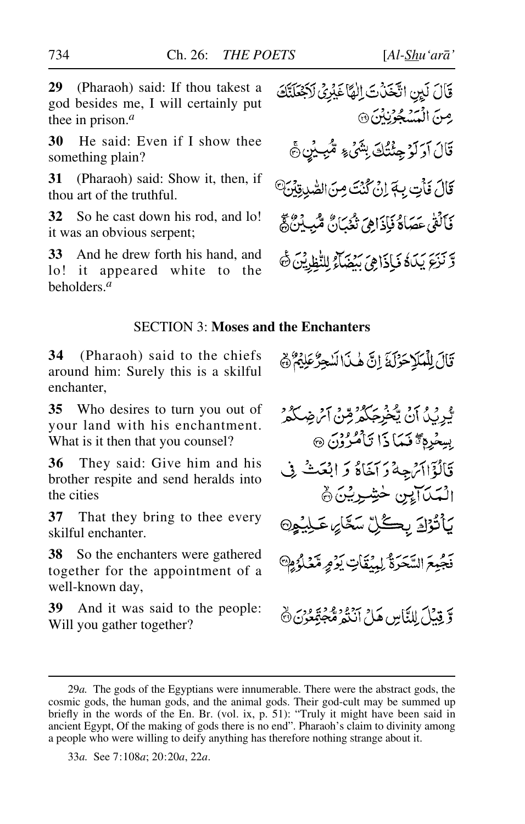**29** (Pharaoh) said: If thou takest a god besides me, I will certainly put thee in prison.*<sup>a</sup>*

**30** He said: Even if I show thee something plain?

**31** (Pharaoh) said: Show it, then, if thou art of the truthful.

**32** So he cast down his rod, and lo! it was an obvious serpent;

**33** And he drew forth his hand, and lo! it appeared white to the beholders.*<sup>a</sup>*

قَالَ لَيِنِ اتَّخَذَتَ اِلْهَا غَيْرِيُ لَاجْعَلَنَّكَ مِنَ الْمَسْجُوَّنِيْنَ @ قَالَ آوَلَوْ جِئْتُكَ بِشَيْءٍ مُّبِيْنِ جَ قَالَ فَأَتِ بِهَ إِنْ كُنْتَ مِنَ الصَّدِقِيْنَ<sup>@</sup> فَأَلَقَىٰ عَصَاكَةُ فَإِذَاهِيَ تُغُبَانَ مُّبِينَنَّ كُمُّ وَّ نَزِعَ يَبَادُ فَإِذَاهِيَ يَنْضَاءُ لِلنَّظِيشِ ۖ فَا

#### SECTION 3: **Moses and the Enchanters**

**34** (Pharaoh) said to the chiefs around him: Surely this is a skilful enchanter,

**35** Who desires to turn you out of your land with his enchantment. What is it then that you counsel?

**36** They said: Give him and his brother respite and send heralds into the cities

**37** That they bring to thee every skilful enchanter.

**38** So the enchanters were gathered together for the appointment of a well-known day,

**39** And it was said to the people: Will you gather together?

قَالَ لِلْمَلَاحَوْلَهَ إِنَّ هٰذَا لَسْجِرٌ عَلِيْهِمْ ﴾

بَّيْرِيْدُ أَنْ يَحْزِجُكُمْ مِّنْ أَيْرِضِكُمْ بِسِعْرِهِ تَتَمَاذَا تَأْمُرُوْنَ ۞ قَالُؤَاآَتُ جِهْ دَ آخَاءٌ وَ ابْعَثْ فِي الْمَدَالِينِ خَشِرِيْنَ ﴾ بِأَنْزَادَ بِكُلِّ سَعَّائِ عَلِيْهِ۞ فَجْبِعَ السَّحَرَةُ لِمِنْقَاتٍ يَؤْمِرِ مِّنْكَلُوُمِ وَّ قِيْلَ لِلنَّاسِ هَلْ أَنَنْهُ مُّجَهَّعُونَ ۞

<sup>29</sup>*a.* The gods of the Egyptians were innumerable. There were the abstract gods, the cosmic gods, the human gods, and the animal gods. Their god-cult may be summed up briefly in the words of the En. Br. (vol. ix, p. 51): "Truly it might have been said in ancient Egypt, Of the making of gods there is no end". Pharaoh's claim to divinity among a people who were willing to deify anything has therefore nothing strange about it.

<sup>33</sup>*a.* See 7:108*a*; 20:20*a*, 22*a*.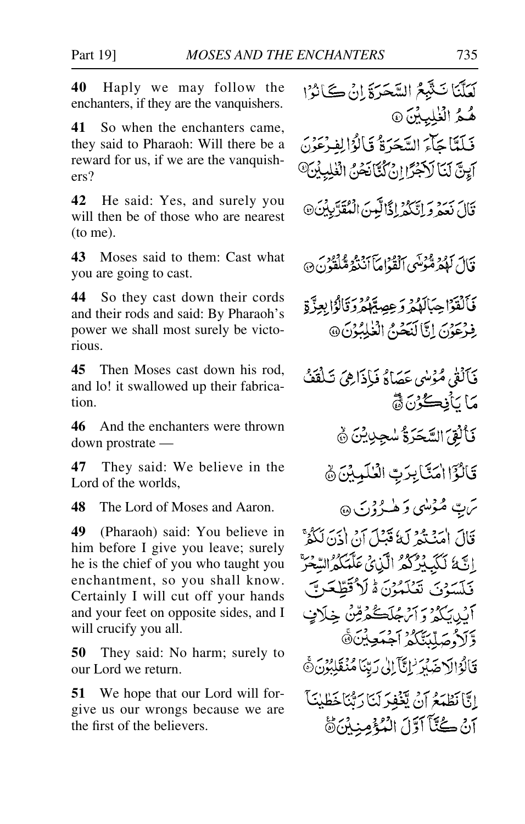**40** Haply we may follow the enchanters, if they are the vanquishers.

**41** So when the enchanters came, they said to Pharaoh: Will there be a reward for us, if we are the vanquishers?

**42** He said: Yes, and surely you will then be of those who are nearest (to me).

**43** Moses said to them: Cast what you are going to cast.

**44** So they cast down their cords and their rods and said: By Pharaoh's power we shall most surely be victorious.

**45** Then Moses cast down his rod, and lo! it swallowed up their fabrication.

**46** And the enchanters were thrown down prostrate —

**47** They said: We believe in the Lord of the worlds.

**48** The Lord of Moses and Aaron.

**49** (Pharaoh) said: You believe in him before I give you leave; surely he is the chief of you who taught you enchantment, so you shall know. Certainly I will cut off your hands and your feet on opposite sides, and I will crucify you all.

**50** They said: No harm; surely to our Lord we return.

**51** We hope that our Lord will forgive us our wrongs because we are the first of the believers.

لَعَلَّنَا تَثْبَعُ السَّحَرَةَ إِنْ كَانُوْا هُمُّ الْغُلِيِيِّينَ @ فَيلَتَا جَآءَ السَّجَرَةُ فَبِالْوَالِفِيرْعَوْنَ آيِنَّ لَيَا لَاجْزًا إِنْ كُنَّانَحْنُ الْغَلِيِيْنَ<sup>0</sup> قَالَ نَعْدُوَ إِتَّكُمْ إِذًا لَّيْنَ الْمُقَرَّبِيِّنَ@ قَالَ لَوْمِرَةٌ فَمُوتَكِّي ٱلْقُدَّامَآ أَنْدَيْرَةٌ مُّلْفَونَ۞ فَأَلْقَوْا حِبَالَهُمْ وَعِصِبِّهِمْ وَقَالُوْا بِعِزَّةٍ فِذْعَوْنَ إِنَّا لَنَحْدُمُ الْغَلِيْزِنَ@ فَأَلْقَى مُؤْسَىٰ عَصَاكَا فَبِإِذَاهِيَ تَبِلُقَفُ مَا يَأْفِكُوْنَ قَدْ فَأَلْقِيَ السَّحَرَةُ سُجِدِينَ ﴾ قَالُوَّا امَنَّابِرَتِّ الْعُلَيِّينَ ﴾ ئرت مُنْزَلِنِي دَ هٰ دُرُدۡنَ ۞ قَالَ اٰمَنۡـٰتُمۡ لَهُ قَبۡلَ إِنۡ اٰذَنَّ لَٰكُمۡ ۚ اتَّةَ لَكَيْثِرُكُمُ الَّذِي عَلَّمَكُمُ السَّعْرَ فَلَسَوْنَ تَعْلَمُوْنَ هُ لَا تَطْعَرِيسَ أَبْدِيَكُمْ وَأَتْرَجُلَكُمْ قِنْ خِلَافٍ وَّلَأُوصَلِّبَتَّكُمُّ أَجْمَعِيْنَ۞ قَالُوْالَا ضَلِّرَ 'إِنَّآ إِلَىٰ رَبِّنَا مُنْقَلِبُوْنَ۞ إِنَّا نَطْهَعُ آنَ يَّغُفِّرَ لَيَا رَتَّنَاخَطْبُنَا آنْ كُنَّاً آوَلَ الْمُؤْمِنِينَ هَ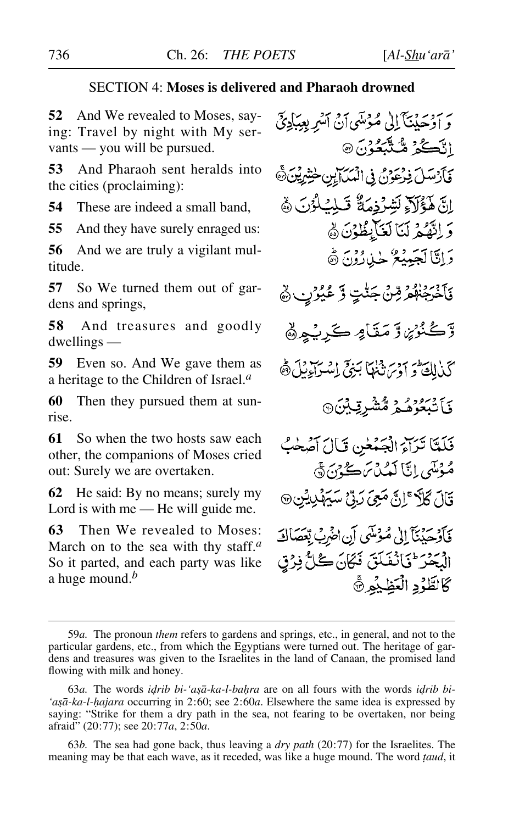### SECTION 4: **Moses is delivered and Pharaoh drowned**

**52** And We revealed to Moses, saying: Travel by night with My servants — you will be pursued.

**53** And Pharaoh sent heralds into the cities (proclaiming):

**54** These are indeed a small band,

**55** And they have surely enraged us:

**56** And we are truly a vigilant multitude.

**57** So We turned them out of gardens and springs,

**58** And treasures and goodly dwellings —

**59** Even so. And We gave them as a heritage to the Children of Israel.*<sup>a</sup>*

**60** Then they pursued them at sunrise.

**61** So when the two hosts saw each other, the companions of Moses cried out: Surely we are overtaken.

**62** He said: By no means; surely my Lord is with me — He will guide me.

**63** Then We revealed to Moses: March on to the sea with thy staff.*<sup>a</sup>* So it parted, and each party was like a huge mound.*<sup>b</sup>*

وَ أَوْحَدْنَنَآ إِلَىٰ مُؤْسَىٰٓ أَنۡ ٱلنَّهِرِ بِعِبَادِئِيۡ اتَّكُمْ مُّتَّبَعُوْنَ۞ فَأَرْسَلَ فِرْعَوْنُ فِي الْمَكَانِينِ خَشِرِيْنَ هَ اِنَّ هَؤُلَاءِ لَشِّرْدِمَةٌ قَبِلِّ كُوُنَ ﴾ وَ اِتَّهُمْ لَيَا لَغَاْبِظُوْنَ هُ دَاتَالَجَيِبِيْعُ جِبْارُوْنَ ۞ فَأَخْرَجْنَهُمْ رِّسْ جَنَّتٍ وَّ عُيُرُنِ ﴾ وَّڪُنُوۡنِ وَ مَقَامٍ ڪَرِيۡهِ هُمَّ كَذَالِكَ وَآوَى نَّهْمَا بَنِيٍّ اِسْرَاءِيْلَ هَ ۏؘٵؾڹٷۿۮ<sup>ۣ</sup>ۿۺٛڔؾۣؽڹ۞ فَلَمَّا تَرَاءُ الْجَمْعٰنِ قَالَ آصَحْبُ مُوْمَتِي إِيَّا لَعُبُدْسَ كَجْ بِيَ ۞ قَالَ كُلَّا ۚ إِنَّ *مَعِيَ دَ*بِّيْ سَيَهْدِيْنِ ۞ فَأَوْجَدُنَآ إِلَىٰ مُؤْمَنِيَ إِنِ اخْرِبُ بِعَصَالَةَ الْبَحْرَ \* فَأَنْفَلَقَ فَكَانَ كُلُّ فِرْقٍ كَالطَّوْدِ الْعَظِيْمِ ۞

63*b.* The sea had gone back, thus leaving a *dry path* (20:77) for the Israelites. The meaning may be that each wave, as it receded, was like a huge mound. The word *∆aud*, it

<sup>59</sup>*a.* The pronoun *them* refers to gardens and springs, etc., in general, and not to the particular gardens, etc., from which the Egyptians were turned out. The heritage of gardens and treasures was given to the Israelites in the land of Canaan, the promised land flowing with milk and honey.

<sup>63</sup>*a*. The words *idrib bi-'asā-ka-l-bahra* are on all fours with the words *idrib bi-'a©å-ka-l-√ajara* occurring in 2:60; see 2:60*a*. Elsewhere the same idea is expressed by saying: "Strike for them a dry path in the sea, not fearing to be overtaken, nor being afraid" (20:77); see 20:77*a*, 2:50*a*.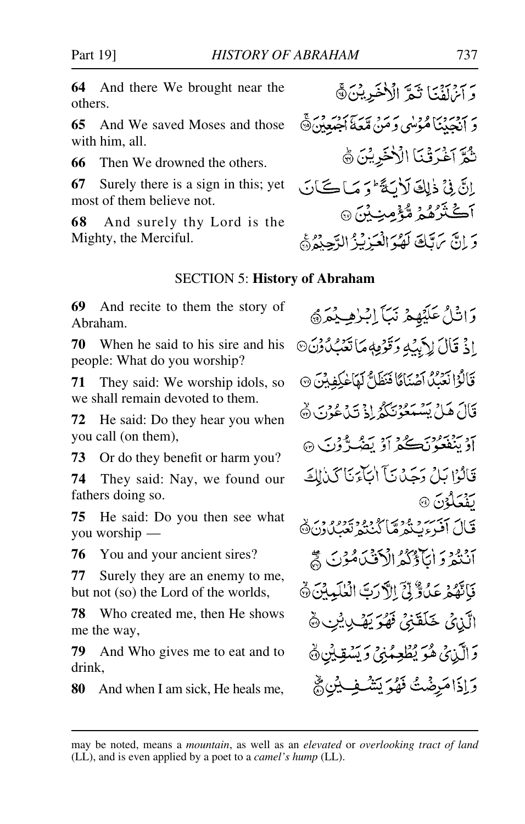**64** And there We brought near the others.

**65** And We saved Moses and those with him, all.

**66** Then We drowned the others.

**67** Surely there is a sign in this; yet most of them believe not.

**68** And surely thy Lord is the Mighty, the Merciful.

#### SECTION 5: **History of Abraham**

**69** And recite to them the story of Abraham.

**70** When he said to his sire and his people: What do you worship?

**71** They said: We worship idols, so we shall remain devoted to them.

**72** He said: Do they hear you when you call (on them),

**73** Or do they benefit or harm you?

**74** They said: Nay, we found our fathers doing so.

**75** He said: Do you then see what you worship—

**76** You and your ancient sires?

**77** Surely they are an enemy to me, but not (so) the Lord of the worlds,

**78** Who created me, then He shows me the way,

**79** And Who gives me to eat and to drink,

**80** And when I am sick, He heals me,

وَاتْلُ عَلَيْهِمْ نَبَأَ إِبْرٰهِ يُمَرُ اِذْ قَالَ لِأَبِيْهِ وَقَوْمِهِ مَا تَعۡبُدُوۡنَ۞ قَالُوْا نَعَيْدُ أَصْنَامًا فَنَظَلُّ لَهَا خُلِفِيْنَ ۞ قَالَ هَلْ بَِسْمَعُوْنَكُمُ إِذْ تَدَعُوْنَ ۞ آوَيْنْغَعُوْنَڪُمْ أَوْ يَضُرُّوْنَ ۞ قَالَهُ! بَارُ دَجَيْدُ بَأَ إِنَّاءَ بَأَ كَذَاكَهُ أَلَيْهِ ردوس<br>مفعلون @ قَالَ أَفْرِءِيَّتُمْ مَّا كُنْتُمْ تَعْبُلُ وَنَ ﴾ أَنْتُمْ وَ أَيَآؤُكُمُ الْأَفْنَىٰ مُؤْنَىٰ لَمْ فَأَنَّهُمْ عَدُوٌّ لِّيَ الْأَرَبَّ الْعٰلَمِينَ ۞ الَّذِيْ خَلَقَنِيٌّ فَهُوَ يَهْدِيِيْنِ ۞ وَالَّذِينَ هُوَ يُطْعِمُنِيَ وَيَسْقِينِنَ ﴾ وَإِذَا مَرِضْتُ فَهُوَ يَشْهِفِ بِيْنِ مُجْ

بَرْدِينَ تَبِدَّ الْأَخَيرِينَ﴾

نُمَّ آغْدَقْنَا الْأُخَرِيْنَ ﴾

آڪٽُرُهُمُ مُّؤْمِنِ بُنَ ۞

م معن من المعلم عن المستنبر.<br>و انحيثناهموسي و من متعدّ أجيعين @

إِنَّ فِي ذَٰلِكَ لَأَيَةً وَمَاكَانَ

وَ إِنَّ يَرَتَكَ لَهُمُ الْعَيْزِيْرُ الدَّجِيدُ ۞

may be noted, means a *mountain*, as well as an *elevated* or *overlooking tract of land* (LL), and is even applied by a poet to a *camel's hump* (LL).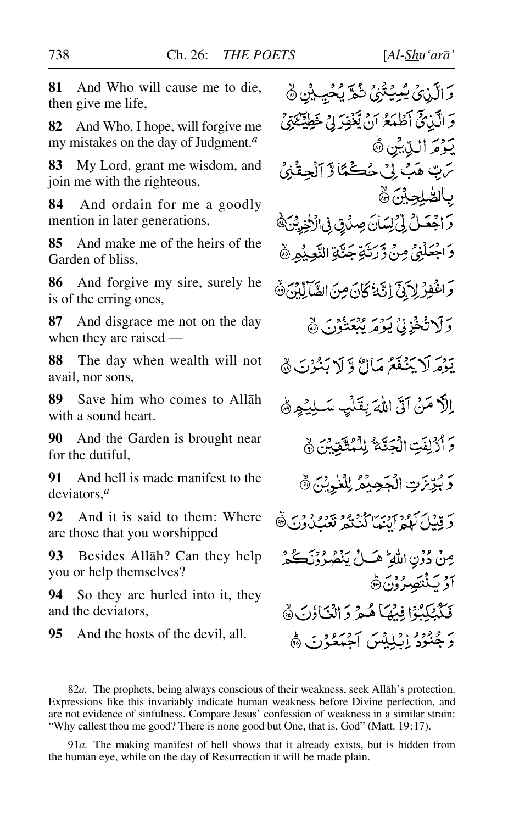**81** And Who will cause me to die, then give me life,

**82** And Who, I hope, will forgive me my mistakes on the day of Judgment.*<sup>a</sup>*

**83** My Lord, grant me wisdom, and join me with the righteous,

**84** And ordain for me a goodly mention in later generations,

**85** And make me of the heirs of the Garden of bliss,

**86** And forgive my sire, surely he is of the erring ones,

**87** And disgrace me not on the day when they are raised —

**88** The day when wealth will not avail, nor sons,

**89** Save him who comes to Allåh with a sound heart.

**90** And the Garden is brought near for the dutiful,

**91** And hell is made manifest to the deviators,*<sup>a</sup>*

**92** And it is said to them: Where are those that you worshipped

**93** Besides Allåh? Can they help you or help themselves?

**94** So they are hurled into it, they and the deviators,

**95** And the hosts of the devil, all.

دَ الَّذِي يُبِيَتُنِيُّ شُدَّ يُحَيِّدُنَّ ۞ دَ الَّذِيخَ آطَعَكُمْ أَنْ يَّعۡفِدَ لِيَ خَطِيۡنَكِيۡنَيۡ يَوْمَ الدِّيْنِ ﴾ سَ هَبْ إِنْ حُڪْمًا لَا آلْحِقَّا بالص<u>ُلِحِب</u>ْنَ ۞ وَاجْعَلْ لِيَ لِسَانَ صِدْقٍ فِى الْأَخِرِيْنَ، دَ اجْعَلْنِيِّ مِنْ وَّرَتَٰةٍ جَنَّةِ النَّعِيْمِ ۞ وَاغْفِرْ لِأَبَيْنَ إِنَّهُ كَانَ مِنَ الضَّآلِّينَ ﴾ دَلَاتُخْزِنِيْ يَوْمَرِ يُبْعَثُوْنَ ۞ يَوْمَرِ لَا يَنۡفَعُرُ مَآاتُرْ وَ لَا يَنۡبُوۡنَ ۿ إِلَّا مَنْ آتَى اللَّهَ بِقَلْبِ سَبِلِيُهِمْ 5 أَرْلِفَتِ الْجَنَّةُ لِلْمُتَّقَيْنَ ﴾ وَبُرِّنَ تِ الْجَحِيْمُ لِلْغُوِيْنَ ﴾ دَ قِيْلَ كَمُوا أَيْنَهَا كُنْتُمْرِ تَعْبُلُوْنَ ﴾ مِنْ دُوۡنِ اللَّهِ ؕ هَـٰ لَيۡ يَنۡصُدُوۡنَڪُمۡ ۖ أَدْ يَنْتَصِرُوْنَ۞ فَكَيْتِكِيْوْا فِيْهَا هُيْمَ دَ الْغَاؤِنَ ۞ دَ جُنُوْدُ إِيْبِلِيْسَ إِحْبَهُ وَرَبِّي هُمْ

91*a.* The making manifest of hell shows that it already exists, but is hidden from the human eye, while on the day of Resurrection it will be made plain.

<sup>82</sup>*a.* The prophets, being always conscious of their weakness, seek Allåh's protection. Expressions like this invariably indicate human weakness before Divine perfection, and are not evidence of sinfulness. Compare Jesus' confession of weakness in a similar strain: "Why callest thou me good? There is none good but One, that is, God" (Matt. 19:17).